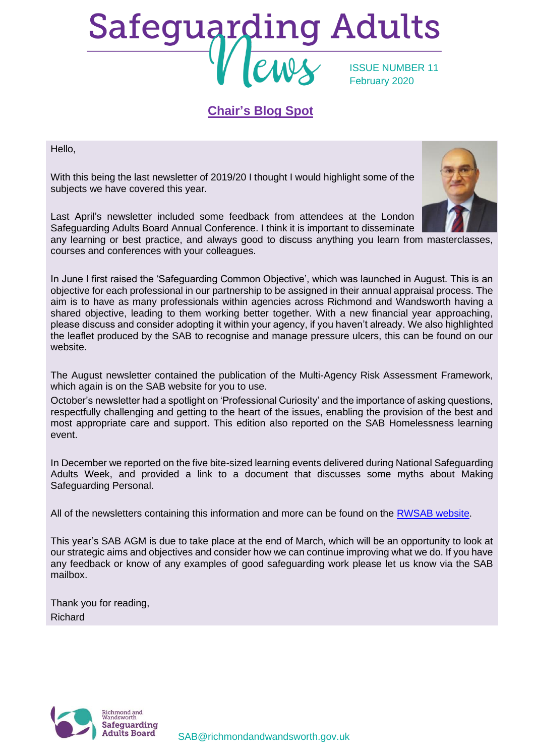# Safeguarding Adults ISSUE NUMBER 11 February 2020

# **Chair's Blog Spot**

Hello,

With this being the last newsletter of 2019/20 I thought I would highlight some of the subjects we have covered this year.

Last April's newsletter included some feedback from attendees at the London Safeguarding Adults Board Annual Conference. I think it is important to disseminate

any learning or best practice, and always good to discuss anything you learn from masterclasses, courses and conferences with your colleagues.

In June I first raised the 'Safeguarding Common Objective', which was launched in August. This is an objective for each professional in our partnership to be assigned in their annual appraisal process. The aim is to have as many professionals within agencies across Richmond and Wandsworth having a shared objective, leading to them working better together. With a new financial year approaching, please discuss and consider adopting it within your agency, if you haven't already. We also highlighted the leaflet produced by the SAB to recognise and manage pressure ulcers, this can be found on our website.

The August newsletter contained the publication of the Multi-Agency Risk Assessment Framework, which again is on the SAB website for you to use.

October's newsletter had a spotlight on 'Professional Curiosity' and the importance of asking questions, respectfully challenging and getting to the heart of the issues, enabling the provision of the best and most appropriate care and support. This edition also reported on the SAB Homelessness learning event.

In December we reported on the five bite-sized learning events delivered during National Safeguarding Adults Week, and provided a link to a document that discusses some myths about Making Safeguarding Personal.

All of the newsletters containing this information and more can be found on the [RWSAB website.](https://www.richmond.gov.uk/council/how_we_work/partnerships/sab/safeguarding_adults_board_resources#newsletters)

This year's SAB AGM is due to take place at the end of March, which will be an opportunity to look at our strategic aims and objectives and consider how we can continue improving what we do. If you have any feedback or know of any examples of good safeguarding work please let us know via the SAB mailbox.

Thank you for reading, Richard





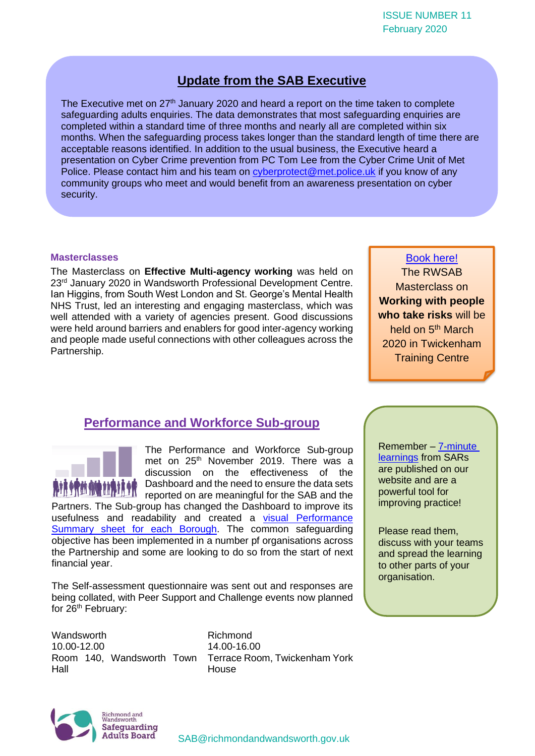# **Update from the SAB Executive**

The Executive met on  $27<sup>th</sup>$  January 2020 and heard a report on the time taken to complete safeguarding adults enquiries. The data demonstrates that most safeguarding enquiries are completed within a standard time of three months and nearly all are completed within six months. When the safeguarding process takes longer than the standard length of time there are acceptable reasons identified. In addition to the usual business, the Executive heard a presentation on Cyber Crime prevention from PC Tom Lee from the Cyber Crime Unit of Met Police. Please contact him and his team on [cyberprotect@met.police.uk](mailto:cyberprotect@met.police.uk) if you know of any community groups who meet and would benefit from an awareness presentation on cyber security.

#### **Masterclasses**

The Masterclass on **Effective Multi-agency working** was held on 23<sup>rd</sup> January 2020 in Wandsworth Professional Development Centre. Ian Higgins, from South West London and St. George's Mental Health NHS Trust, led an interesting and engaging masterclass, which was well attended with a variety of agencies present. Good discussions were held around barriers and enablers for good inter-agency working and people made useful connections with other colleagues across the Partnership.

[Book here!](https://www.eventbrite.co.uk/e/rwsab-masterclass-working-with-people-who-take-risks-tickets-91331618329) The RWSAB Masterclass on **Working with people who take risks** will be held on 5<sup>th</sup> March 2020 in Twickenham Training Centre

## **Performance and Workforce Sub-group**



The Performance and Workforce Sub-group met on 25<sup>th</sup> November 2019. There was a discussion on the effectiveness of the Dashboard and the need to ensure the data sets reported on are meaningful for the SAB and the

Partners. The Sub-group has changed the Dashboard to improve its usefulness and readability and created a visual Performance [Summary sheet for each Borough.](https://www.richmond.gov.uk/council/how_we_work/partnerships/sab/safeguarding_adults_board_subgroups#performance_subgroup) The common safeguarding objective has been implemented in a number pf organisations across the Partnership and some are looking to do so from the start of next financial year.

The Self-assessment questionnaire was sent out and responses are being collated, with Peer Support and Challenge events now planned for 26<sup>th</sup> February:

Wandsworth 10.00-12.00 Hall

Room 140, Wandsworth Town Terrace Room, Twickenham York Richmond 14.00-16.00 **House** 

Remember – [7-minute](https://www.richmond.gov.uk/council/how_we_work/partnerships/sab/safeguarding_adult_reviews)  [learnings](https://www.richmond.gov.uk/council/how_we_work/partnerships/sab/safeguarding_adult_reviews) from SARs are published on our website and are a powerful tool for improving practice!

Please read them, discuss with your teams and spread the learning to other parts of your organisation.

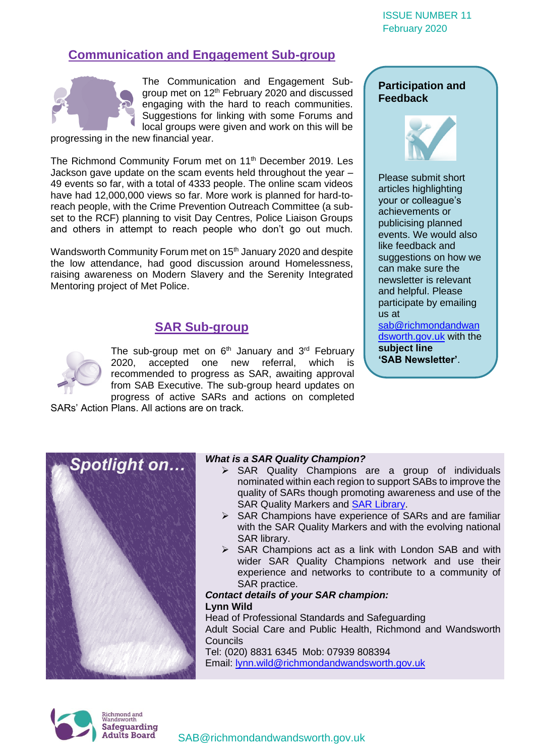#### ISSUE NUMBER 11 February 2020

# **Communication and Engagement Sub-group**



The Communication and Engagement Subgroup met on 12<sup>th</sup> February 2020 and discussed engaging with the hard to reach communities. Suggestions for linking with some Forums and local groups were given and work on this will be

progressing in the new financial year.

The Richmond Community Forum met on 11<sup>th</sup> December 2019. Les Jackson gave update on the scam events held throughout the year – 49 events so far, with a total of 4333 people. The online scam videos have had 12,000,000 views so far. More work is planned for hard-toreach people, with the Crime Prevention Outreach Committee (a subset to the RCF) planning to visit Day Centres, Police Liaison Groups and others in attempt to reach people who don't go out much.

Wandsworth Community Forum met on 15<sup>th</sup> January 2020 and despite the low attendance, had good discussion around Homelessness, raising awareness on Modern Slavery and the Serenity Integrated Mentoring project of Met Police.

# **SAR Sub-group**

The sub-group met on  $6<sup>th</sup>$  January and  $3<sup>rd</sup>$  February 2020, accepted one new referral, which is recommended to progress as SAR, awaiting approval from SAB Executive. The sub-group heard updates on progress of active SARs and actions on completed SARs' Action Plans. All actions are on track.

**Participation and Feedback**



Please submit short articles highlighting your or colleague's achievements or publicising planned events. We would also like feedback and suggestions on how we can make sure the newsletter is relevant and helpful. Please participate by emailing us at

[sab@richmondandwan](mailto:sab@richmondandwandsworth.gov.uk) [dsworth.gov.uk](mailto:sab@richmondandwandsworth.gov.uk) with the **subject line 'SAB Newsletter'**.



#### *What is a SAR Quality Champion?*

- ➢ SAR Quality Champions are a group of individuals nominated within each region to support SABs to improve the quality of SARs though promoting awareness and use of the SAR Quality Markers and [SAR Library.](https://www.scie.org.uk/safeguarding/adults/reviews/library/apply)
- ➢ SAR Champions have experience of SARs and are familiar with the SAR Quality Markers and with the evolving national SAR library.
- ➢ SAR Champions act as a link with London SAB and with wider SAR Quality Champions network and use their experience and networks to contribute to a community of SAR practice.

#### *Contact details of your SAR champion:* **Lynn Wild**

Head of Professional Standards and Safeguarding Adult Social Care and Public Health, Richmond and Wandsworth **Councils** Tel: (020) 8831 6345 Mob: 07939 808394 Email: [lynn.wild@richmondandwandsworth.gov.uk](mailto:lynn.wild@richmondandwandsworth.gov.uk)

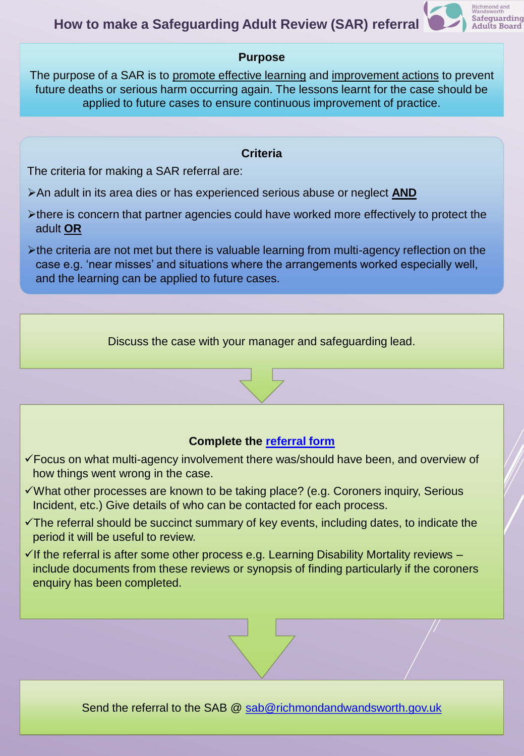

Safeguarding **Adults Board** 

The purpose of a SAR is to promote effective learning and improvement actions to prevent future deaths or serious harm occurring again. The lessons learnt for the case should be applied to future cases to ensure continuous improvement of practice.

#### **Criteria**

The criteria for making a SAR referral are:

- ➢An adult in its area dies or has experienced serious abuse or neglect **AND**
- ➢there is concern that partner agencies could have worked more effectively to protect the adult **OR**
- ➢the criteria are not met but there is valuable learning from multi-agency reflection on the case e.g. 'near misses' and situations where the arrangements worked especially well, and the learning can be applied to future cases.

Discuss the case with your manager and safeguarding lead.

# **Complete the [referral form](https://www.richmond.gov.uk/media/14732/sar_referral_form.docx)**

- ✓Focus on what multi-agency involvement there was/should have been, and overview of how things went wrong in the case.
- ✓What other processes are known to be taking place? (e.g. Coroners inquiry, Serious Incident, etc.) Give details of who can be contacted for each process.
- $\checkmark$ The referral should be succinct summary of key events, including dates, to indicate the period it will be useful to review.
- $\checkmark$  If the referral is after some other process e.g. Learning Disability Mortality reviews include documents from these reviews or synopsis of finding particularly if the coroners enquiry has been completed.

Send the referral to the SAB @ [sab@richmondandwandsworth.gov.uk](mailto:sab@richmondandwandsworth.gov.uk)